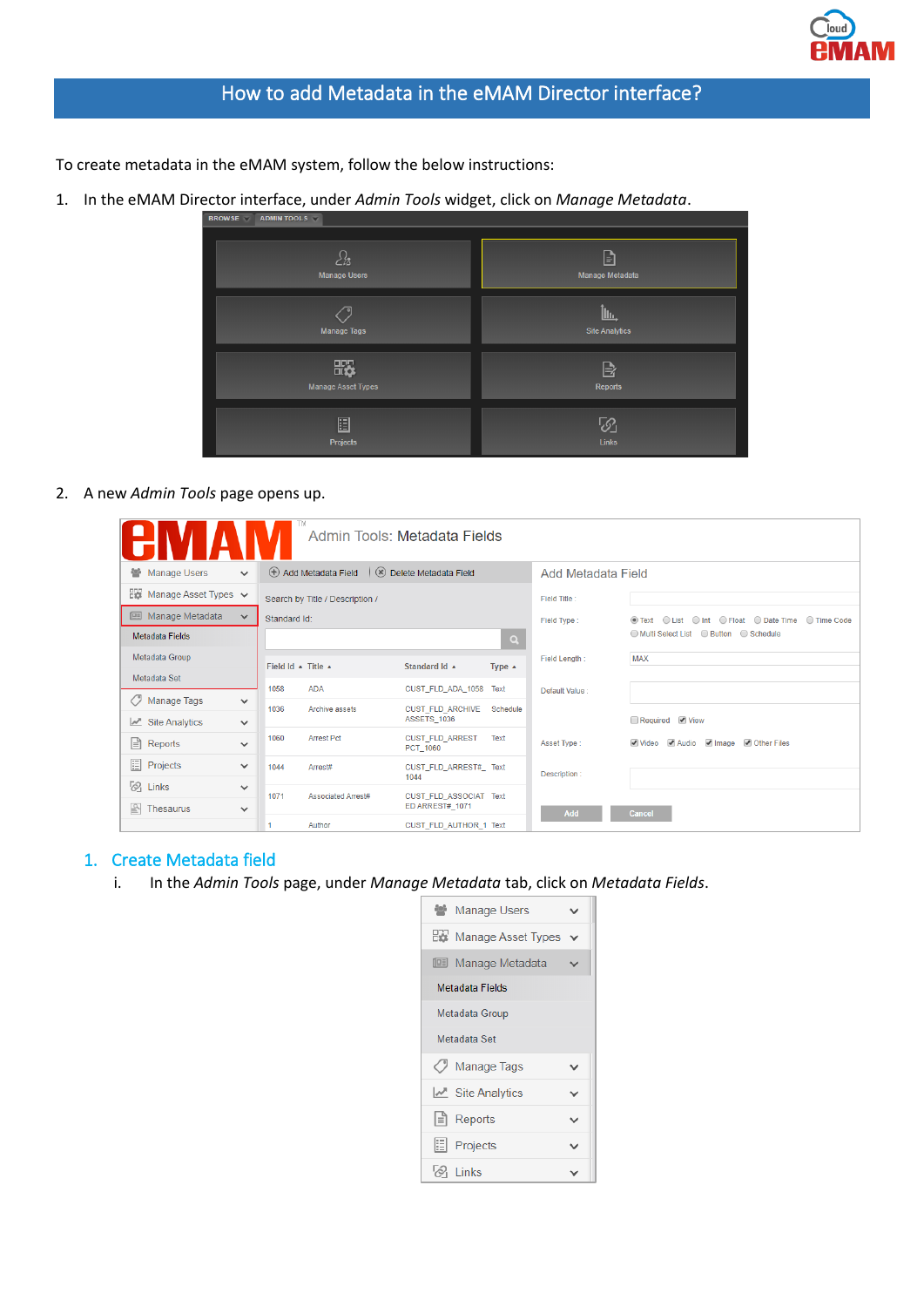

To create metadata in the eMAM system, follow the below instructions:

1. In the eMAM Director interface, under *Admin Tools* widget, click on *Manage Metadata*.



#### 2. A new *Admin Tools* page opens up.

| TM<br>Admin Tools: Metadata Fields |              |                    |                                 |                                                  |                  |                    |                                                          |
|------------------------------------|--------------|--------------------|---------------------------------|--------------------------------------------------|------------------|--------------------|----------------------------------------------------------|
| Manage Users                       | $\checkmark$ |                    | (+) Add Metadata Field          | Delete Metadata Field                            |                  | Add Metadata Field |                                                          |
| Manage Asset Types v               |              |                    | Search by Title / Description / |                                                  |                  | Field Title:       |                                                          |
| <b>E</b> Manage Metadata           | $\checkmark$ | Standard Id:       |                                 |                                                  |                  | Field Type:        | ⊙ Text  ○ List  ○ Int  ○ Float  ○ Date Time  ○ Time Code |
| Metadata Fields                    |              |                    |                                 |                                                  | $\alpha$         |                    | ◯ Multi Select List ◯ Button ◯ Schedule                  |
| Metadata Group                     |              | Field Id & Title & |                                 | Standard Id A                                    | Type $\triangle$ | Field Length:      | <b>MAX</b>                                               |
| Metadata Set                       |              | 1058               | <b>ADA</b>                      | CUST FLD ADA 1058                                | Text             |                    |                                                          |
| / Manage Tags                      | $\checkmark$ |                    |                                 |                                                  |                  | Default Value:     |                                                          |
| $\mathbb{Z}$ Site Analytics        | $\checkmark$ | 1036               | Archive assets                  | <b>CUST FLD ARCHIVE</b><br>ASSETS 1036           | Schedule         |                    | Required View                                            |
| $\equiv$ Reports                   | $\checkmark$ | 1060               | <b>Arrest Pct</b>               | <b>CUST FLD ARREST</b><br>PCT 1060               | Text             | Asset Type:        | Video Audio Image Other Files                            |
| 目<br>Projects                      | $\checkmark$ | 1044               | Arrest#                         | CUST FLD ARREST# Text<br>1044                    |                  | Description:       |                                                          |
| $\frac{1}{2}$ Links                | $\checkmark$ |                    |                                 |                                                  |                  |                    |                                                          |
| $\mathbb{R}$ Thesaurus             | $\checkmark$ | 1071               | <b>Associated Arrest#</b>       | <b>CUST_FLD_ASSOCIAT_Text</b><br>ED ARREST# 1071 |                  | Add                | Cancel                                                   |
|                                    |              |                    | Author                          | CUST_FLD_AUTHOR_1 Text                           |                  |                    |                                                          |

## 1. Create Metadata field

i. In the *Admin Tools* page, under *Manage Metadata* tab, click on *Metadata Fields*.

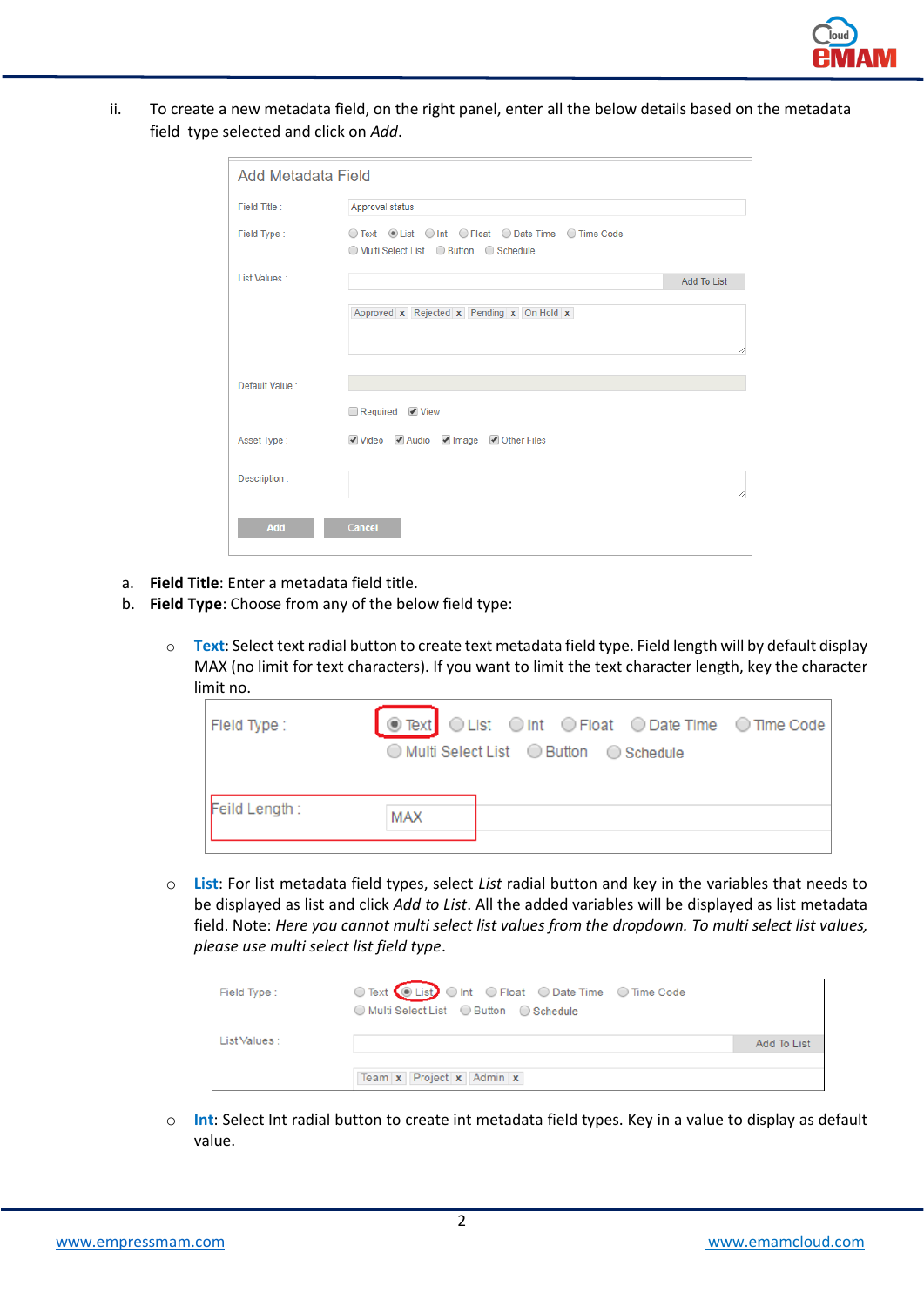

ii. To create a new metadata field, on the right panel, enter all the below details based on the metadata field type selected and click on *Add*.

| <b>Add Metadata Field</b> |                                                                                                |             |  |  |
|---------------------------|------------------------------------------------------------------------------------------------|-------------|--|--|
| Field Title:              | Approval status                                                                                |             |  |  |
| Field Type:               | ○ Text ⊙ List ○ Int ○ Float ○ Date Time ○ Time Code<br>◯ Multi Select List ◯ Button ◯ Schedule |             |  |  |
| List Values:              |                                                                                                | Add To List |  |  |
|                           | Approved x Rejected x Pending x On Hold x                                                      | 11          |  |  |
| Default Value:            |                                                                                                |             |  |  |
|                           | Required View                                                                                  |             |  |  |
| Asset Type:               | Video Audio VImage V Other Files                                                               |             |  |  |
| Description:              |                                                                                                | 4           |  |  |
| Add                       | Cancel                                                                                         |             |  |  |

- a. **Field Title**: Enter a metadata field title.
- b. **Field Type**: Choose from any of the below field type:
	- o **Text**: Select text radial button to create text metadata field type. Field length will by default display MAX (no limit for text characters). If you want to limit the text character length, key the character limit no.

| Field Type:   | O Text OList O Int O Float O Date Time O Time Code |
|---------------|----------------------------------------------------|
|               | ◯ Multi Select List ◯ Button ◯ Schedule            |
|               |                                                    |
| Feild Length: | <b>MAX</b>                                         |

o **List**: For list metadata field types, select *List* radial button and key in the variables that needs to be displayed as list and click *Add to List*. All the added variables will be displayed as list metadata field. Note: *Here you cannot multi select list values from the dropdown. To multi select list values, please use multi select list field type*.

| Field Type:  | ◯ Multi Select List ◯ Button ◯ Schedule |             |  |  |  |  |  |
|--------------|-----------------------------------------|-------------|--|--|--|--|--|
| List Values: |                                         | Add To List |  |  |  |  |  |
|              |                                         |             |  |  |  |  |  |
|              | Team x Project x Admin x                |             |  |  |  |  |  |

o **Int**: Select Int radial button to create int metadata field types. Key in a value to display as default value.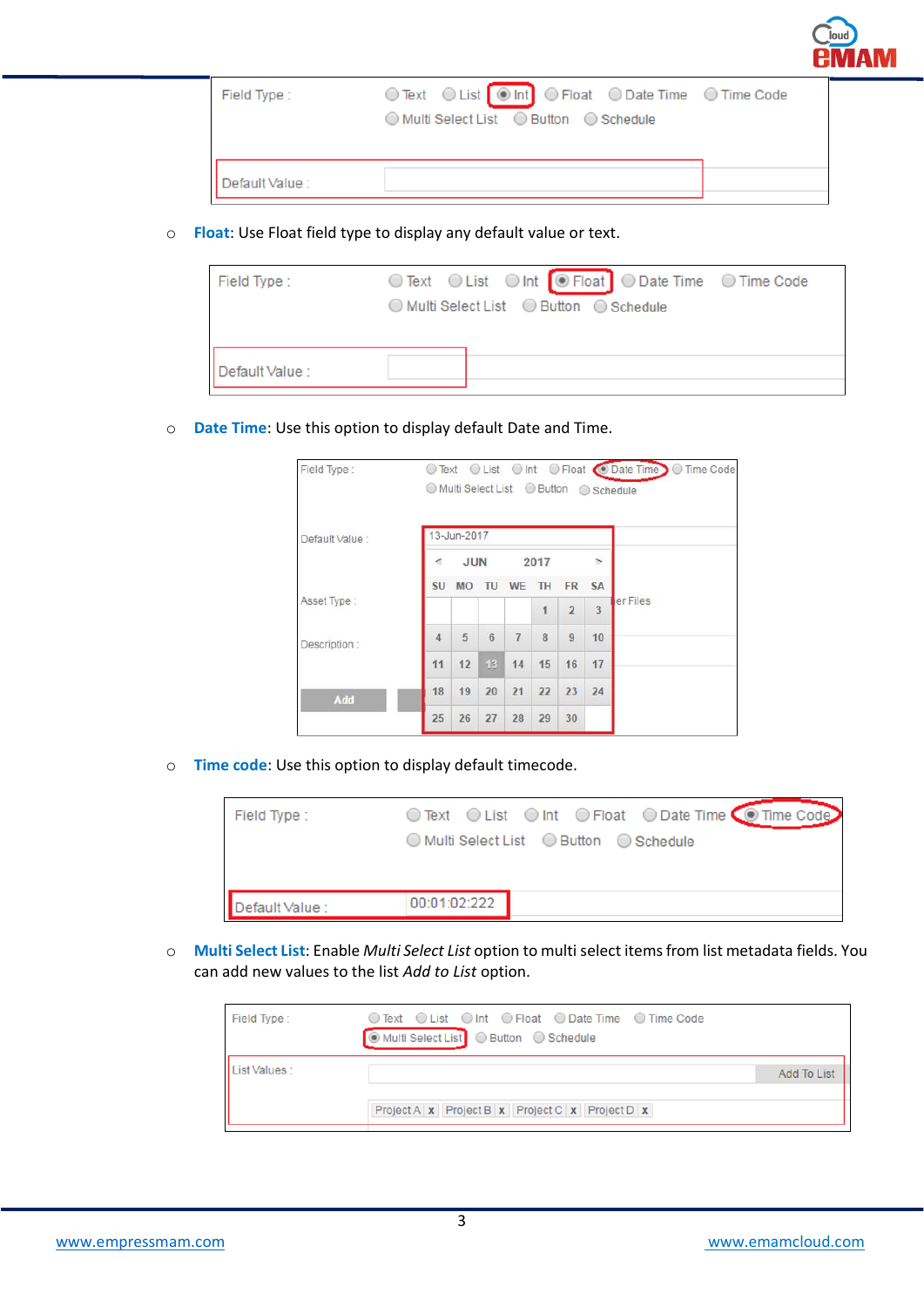| Field Type :   | ◯ Multi Select List ◯ Button ◯ Schedule |
|----------------|-----------------------------------------|
| Default Value: |                                         |

o **Float**: Use Float field type to display any default value or text.

| Field Type:    | ◯ Text  ◯ List  ◯ Int  ◯ Float  ◯ Date Time  ◯ Time Code<br>◯ Multi Select List ◯ Button ◯ Schedule |
|----------------|-----------------------------------------------------------------------------------------------------|
| Default Value: |                                                                                                     |

o **Date Time**: Use this option to display default Date and Time.

| Field Type:    | $\circledcirc$ |                  |                  |                |                |                |                | ⊙ Text O List O Int O Float O Date Time O Time Code |
|----------------|----------------|------------------|------------------|----------------|----------------|----------------|----------------|-----------------------------------------------------|
| Default Value: |                | 13-Jun-2017      |                  |                |                |                |                |                                                     |
|                | 4              | <b>JUN</b>       |                  | 2017           |                | $\rightarrow$  |                |                                                     |
|                | SU             | <b>MO</b>        | TU               | WE             | TH             | <b>FR</b>      | <b>SA</b>      |                                                     |
| Asset Type:    |                |                  |                  |                | 1              | $\overline{2}$ | $\overline{3}$ | er Files                                            |
| Description:   | $\overline{4}$ | $5 \overline{5}$ | $6 \overline{6}$ | $\overline{7}$ | $\overline{8}$ | $\dot{9}$      | 10             |                                                     |
|                | 11             | 12               | 13               | 14             | 15             | 16             | 17             |                                                     |
| Add            | 18             | 19               | 20               | 21             | 22             | 23             | 24             |                                                     |
|                | 25             | 26               | 27               | 28             | 29             | 30             |                |                                                     |

o **Time code**: Use this option to display default timecode.

| Field Type:     | ○ Text ○ List ○ Int ○ Float ○ Date Time ● Time Code<br>◯ Multi Select List ◯ Button ◯ Schedule |
|-----------------|------------------------------------------------------------------------------------------------|
| Default Value : | 00:01:02:222                                                                                   |

o **Multi Select List**: Enable *Multi Select List* option to multi select items from list metadata fields. You can add new values to the list *Add to List* option.

| Field Type:  | ○ Text ○ List ○ Int ○ Float ○ Date Time ○ Time Code<br>■ Multi Select List C Button C Schedule |                    |
|--------------|------------------------------------------------------------------------------------------------|--------------------|
| List Values: |                                                                                                | <b>Add To List</b> |
|              | Project A x Project B x Project C x Project D x                                                |                    |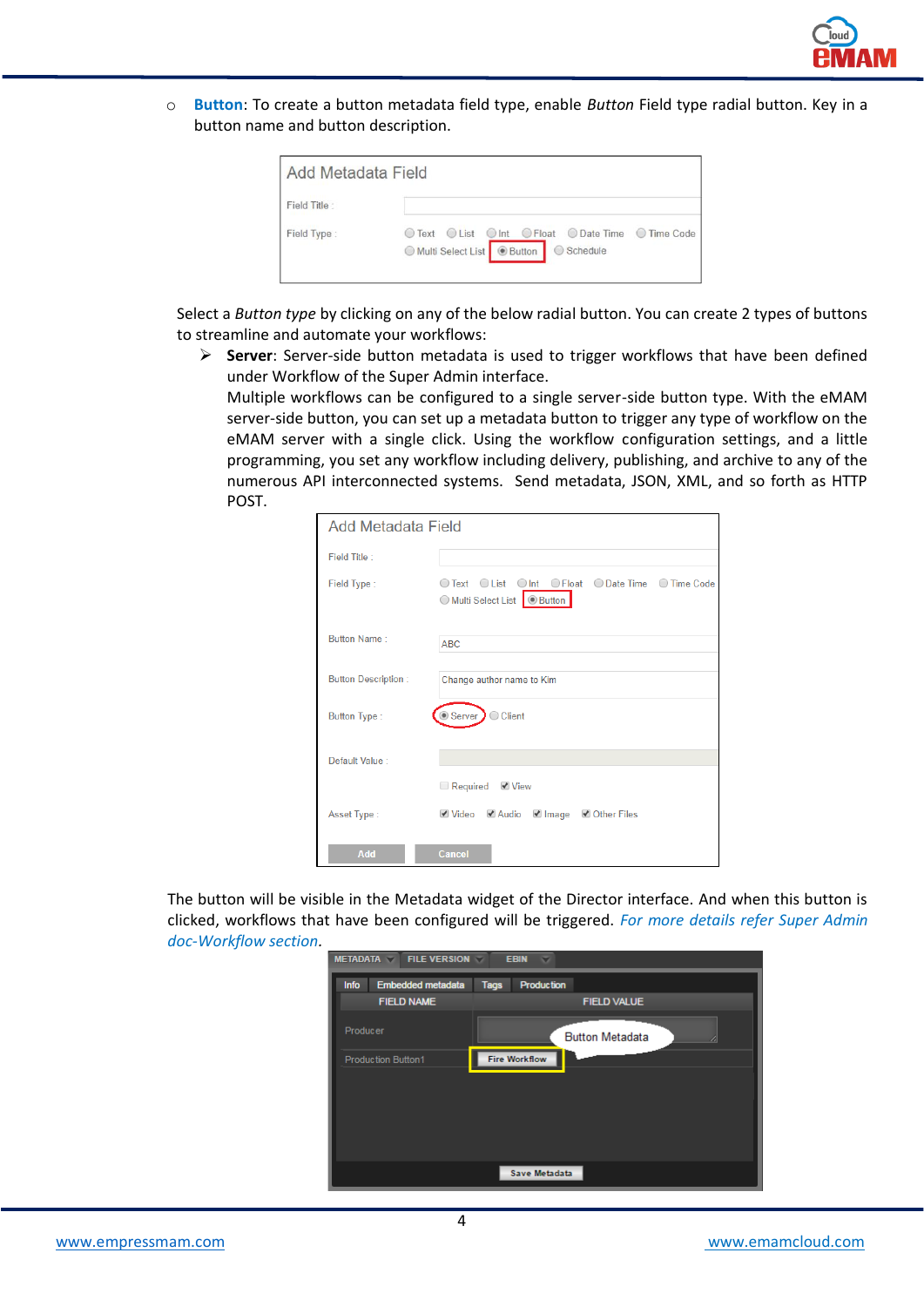

o **Button**: To create a button metadata field type, enable *Button* Field type radial button. Key in a button name and button description.

| Field Title: |                                                     |
|--------------|-----------------------------------------------------|
|              | ○ Text © List © Int O Float © Date Time © Time Code |

Select a *Button type* by clicking on any of the below radial button. You can create 2 types of buttons to streamline and automate your workflows:

➢ **Server**: Server-side button metadata is used to trigger workflows that have been defined under Workflow of the Super Admin interface.

Multiple workflows can be configured to a single server-side button type. With the eMAM server-side button, you can set up a metadata button to trigger any type of workflow on the eMAM server with a single click. Using the workflow configuration settings, and a little programming, you set any workflow including delivery, publishing, and archive to any of the numerous API interconnected systems. Send metadata, JSON, XML, and so forth as HTTP POST.

| Add Metadata Field         |                                                                                 |
|----------------------------|---------------------------------------------------------------------------------|
| Field Title:               |                                                                                 |
| Field Type:                | ○ Text ○ List ○ Int ○ Float ○ Date Time ○ Time Code<br>Multi Select List Button |
| <b>Button Name:</b>        | <b>ABC</b>                                                                      |
| <b>Button Description:</b> | Change author name to Kim                                                       |
| Button Type:               | Server DClient                                                                  |
| Default Value:             |                                                                                 |
|                            | ■ Required ■ View                                                               |
| Asset Type:                | ■ Video ■ Audio ■ Image ■ Other Files                                           |
| Add                        | Cancel                                                                          |

The button will be visible in the Metadata widget of the Director interface. And when this button is clicked, workflows that have been configured will be triggered. *For more details refer Super Admin doc-Workflow section.*

| <b>METADATA</b><br><b>FILE VERSION</b><br><b>EBIN</b><br>$\overline{\phantom{a}}$ |                                  |  |  |  |  |
|-----------------------------------------------------------------------------------|----------------------------------|--|--|--|--|
| <b>Embedded metadata</b><br>Info                                                  | <b>Production</b><br><b>Tags</b> |  |  |  |  |
| <b>FIELD NAME</b>                                                                 | <b>FIELD VALUE</b>               |  |  |  |  |
| <b>Producer</b>                                                                   | <b>Button Metadata</b><br>œ      |  |  |  |  |
| <b>Production Button1</b>                                                         | <b>Fire Workflow</b>             |  |  |  |  |
|                                                                                   |                                  |  |  |  |  |
|                                                                                   |                                  |  |  |  |  |
|                                                                                   |                                  |  |  |  |  |
|                                                                                   |                                  |  |  |  |  |
|                                                                                   | <b>Save Metadata</b>             |  |  |  |  |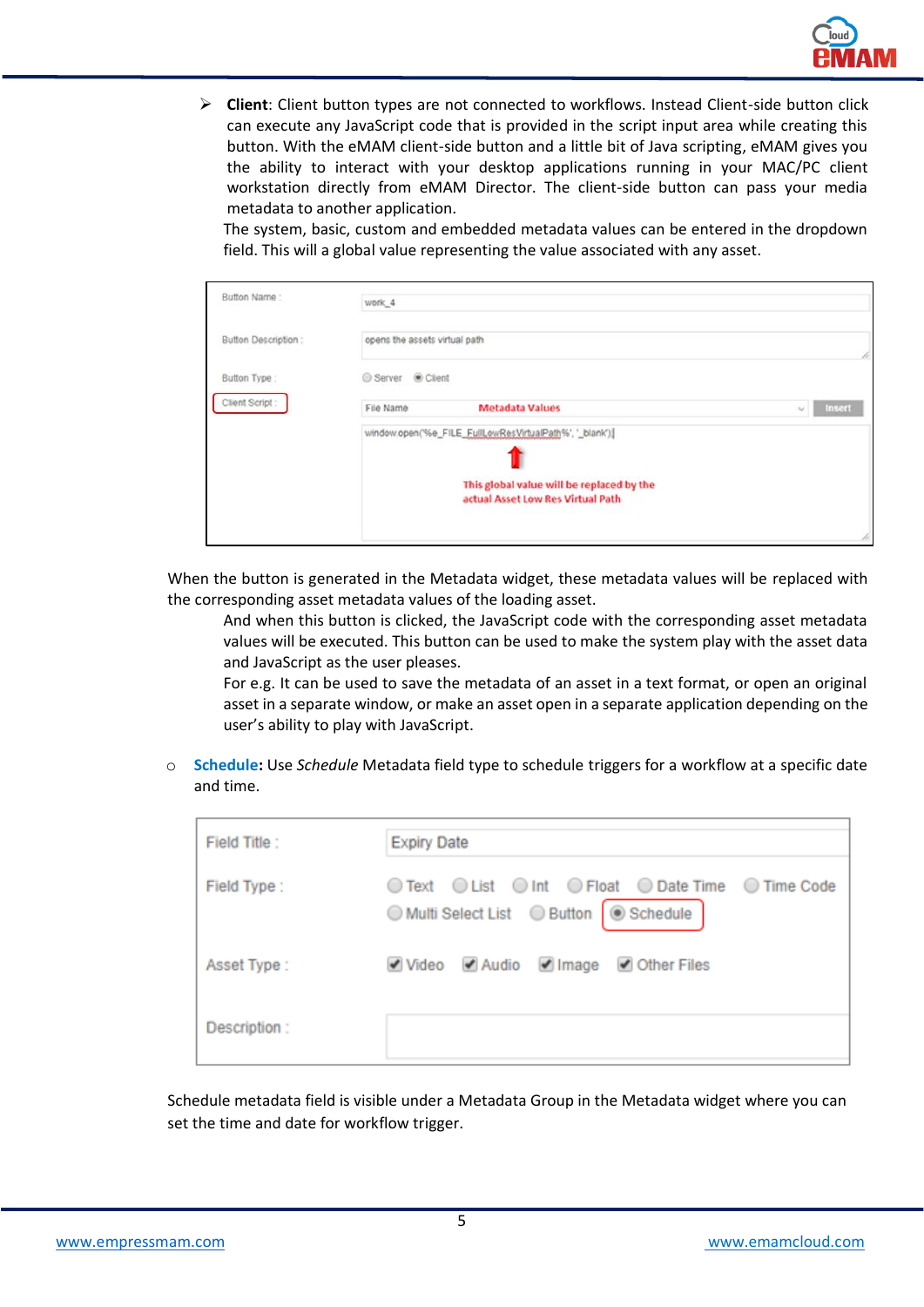

➢ **Client**: Client button types are not connected to workflows. Instead Client-side button click can execute any JavaScript code that is provided in the script input area while creating this button. With the eMAM client-side button and a little bit of Java scripting, eMAM gives you the ability to interact with your desktop applications running in your MAC/PC client workstation directly from eMAM Director. The client-side button can pass your media metadata to another application.

The system, basic, custom and embedded metadata values can be entered in the dropdown field. This will a global value representing the value associated with any asset.

| Button Name:        | work <sub>4</sub>                                                              |                  |
|---------------------|--------------------------------------------------------------------------------|------------------|
| Button Description: | opens the assets virtual path.                                                 | r                |
| Button Type:        | Server @ Client                                                                |                  |
| Client Script:      | <b>Metadata Values</b><br>File Name                                            | Insert<br>$\sim$ |
|                     | window.open('%e_FILE_FullLowResVirtualPath%', '_blank'){                       |                  |
|                     | This global value will be replaced by the<br>actual Asset Low Res Virtual Path |                  |
|                     |                                                                                | p.               |

When the button is generated in the Metadata widget, these metadata values will be replaced with the corresponding asset metadata values of the loading asset.

And when this button is clicked, the JavaScript code with the corresponding asset metadata values will be executed. This button can be used to make the system play with the asset data and JavaScript as the user pleases.

For e.g. It can be used to save the metadata of an asset in a text format, or open an original asset in a separate window, or make an asset open in a separate application depending on the user's ability to play with JavaScript.

o **Schedule:** Use *Schedule* Metadata field type to schedule triggers for a workflow at a specific date and time.

| Field Title: | <b>Expiry Date</b>                                                                             |  |  |  |  |  |  |  |
|--------------|------------------------------------------------------------------------------------------------|--|--|--|--|--|--|--|
| Field Type:  | ◯ Text ◯ List ◯ Int ◯ Float ◯ Date Time ◯ Time Code<br>◯ Multi Select List ◯ Button   Schedule |  |  |  |  |  |  |  |
| Asset Type:  | Video Audio Image Other Files                                                                  |  |  |  |  |  |  |  |
| Description: |                                                                                                |  |  |  |  |  |  |  |

Schedule metadata field is visible under a Metadata Group in the Metadata widget where you can set the time and date for workflow trigger.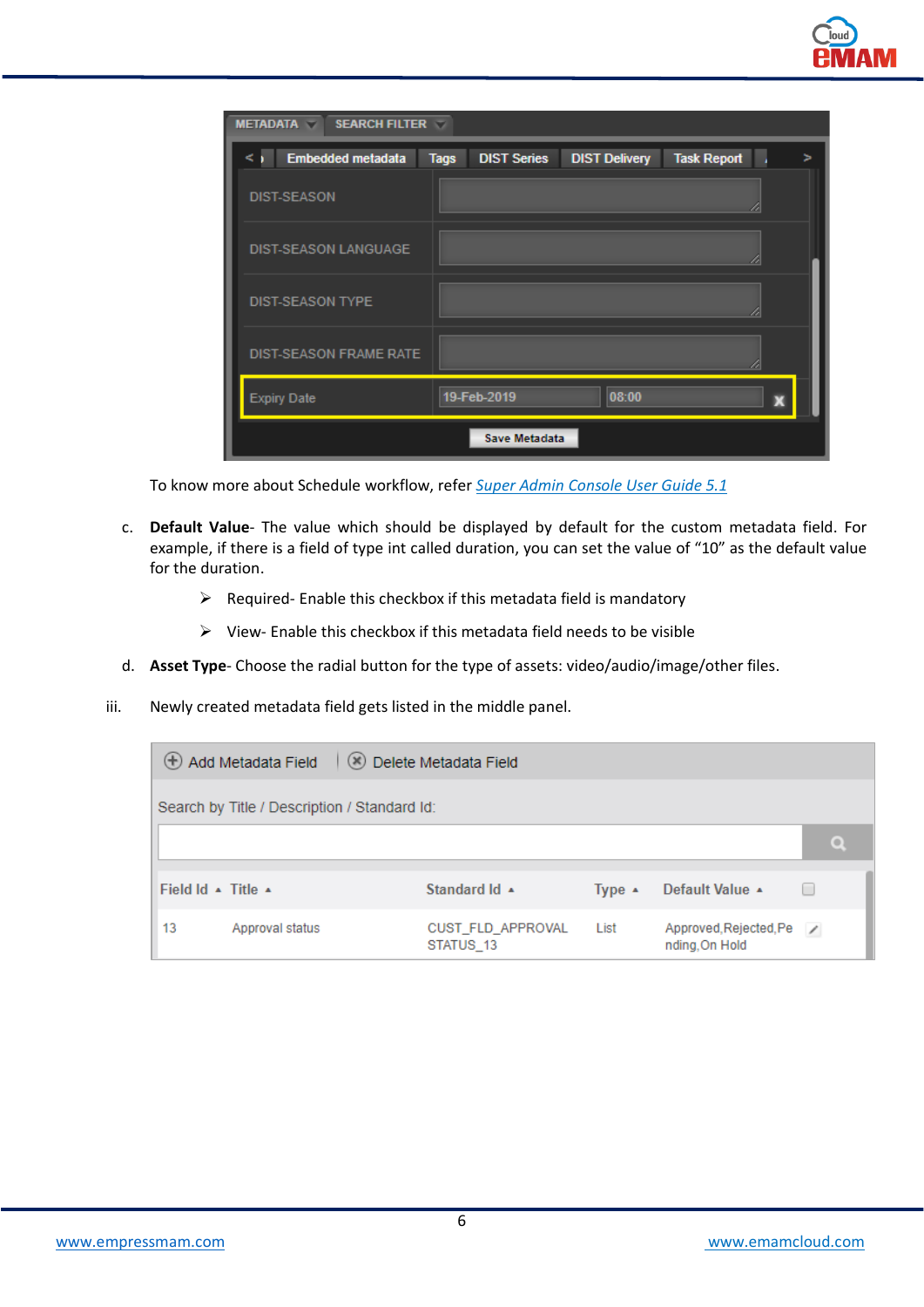| <b>SEARCH FILTER</b><br><b>METADATA</b><br>$\overline{\phantom{a}}$ |                                   |                      |                    |   |
|---------------------------------------------------------------------|-----------------------------------|----------------------|--------------------|---|
| Embedded metadata                                                   | <b>DIST Series</b><br><b>Tags</b> | <b>DIST Delivery</b> | <b>Task Report</b> | 5 |
| <b>DIST-SEASON</b>                                                  |                                   |                      |                    |   |
| <b>DIST-SEASON LANGUAGE</b>                                         |                                   |                      |                    |   |
| <b>DIST-SEASON TYPE</b>                                             |                                   |                      |                    |   |
| <b>DIST-SEASON FRAME RATE</b>                                       |                                   |                      | a                  |   |
| <b>Expiry Date</b>                                                  | 19-Feb-2019                       | 08:00                | X                  |   |
|                                                                     | <b>Save Metadata</b>              |                      |                    |   |

To know more about Schedule workflow, refer *Super Admin Console User Guide 5.1*

- c. **Default Value** The value which should be displayed by default for the custom metadata field. For example, if there is a field of type int called duration, you can set the value of "10" as the default value for the duration.
	- ➢ Required- Enable this checkbox if this metadata field is mandatory
	- ➢ View- Enable this checkbox if this metadata field needs to be visible
- d. **Asset Type** Choose the radial button for the type of assets: video/audio/image/other files.
- iii. Newly created metadata field gets listed in the middle panel.

|                                            | $\bigoplus$ Add Metadata Field $\bigotimes$ Delete Metadata Field |                                         |                  |                                            |  |         |  |
|--------------------------------------------|-------------------------------------------------------------------|-----------------------------------------|------------------|--------------------------------------------|--|---------|--|
|                                            | Search by Title / Description / Standard Id:                      |                                         |                  |                                            |  |         |  |
|                                            |                                                                   |                                         |                  |                                            |  | $\circ$ |  |
| Field Id $\rightarrow$ Title $\rightarrow$ |                                                                   | Standard $\mathsf{Id}$ $\blacktriangle$ | Type $\triangle$ | Default Value ▲                            |  |         |  |
| 13                                         | Approval status                                                   | CUST FLD APPROVAL<br>STATUS 13          | List             | Approved, Rejected, Pe /<br>nding, On Hold |  |         |  |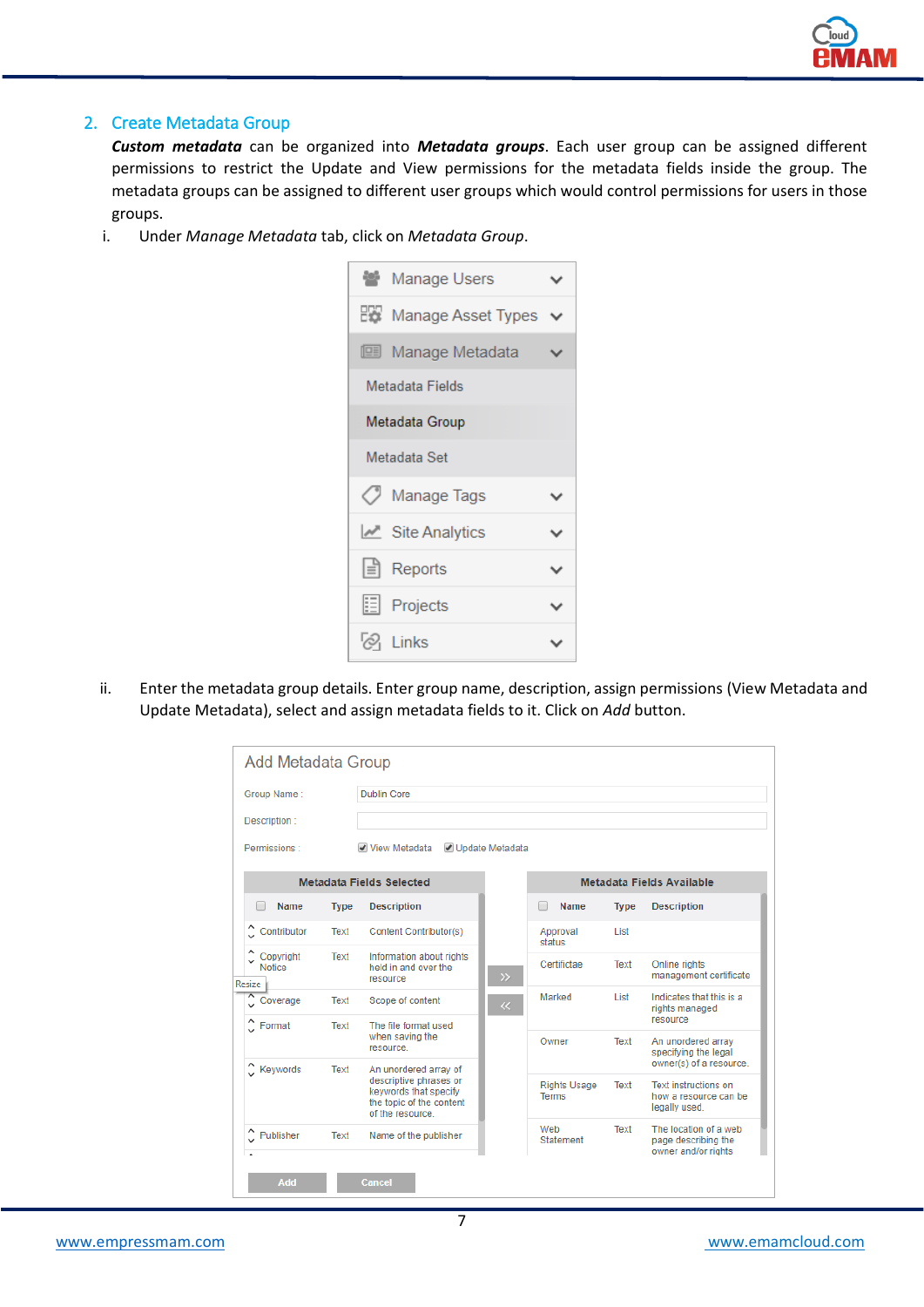

# 2. Create Metadata Group

*Custom metadata* can be organized into *Metadata groups*. Each user group can be assigned different permissions to restrict the Update and View permissions for the metadata fields inside the group. The metadata groups can be assigned to different user groups which would control permissions for users in those groups.

i. Under *Manage Metadata* tab, click on *Metadata Group*.



ii. Enter the metadata group details. Enter group name, description, assign permissions (View Metadata and Update Metadata), select and assign metadata fields to it. Click on *Add* button.

| Group Name:                   |             | <b>Dublin Core</b>                                                                                                       |                 |                                     |             |                                                                       |
|-------------------------------|-------------|--------------------------------------------------------------------------------------------------------------------------|-----------------|-------------------------------------|-------------|-----------------------------------------------------------------------|
| Description:                  |             |                                                                                                                          |                 |                                     |             |                                                                       |
| Permissions:                  |             | View Metadata                                                                                                            | Update Metadata |                                     |             |                                                                       |
|                               |             | <b>Metadata Fields Selected</b>                                                                                          |                 |                                     |             | Metadata Fields Available                                             |
| Name<br>m                     | <b>Type</b> | <b>Description</b>                                                                                                       |                 | Name                                | <b>Type</b> | <b>Description</b>                                                    |
| Contributor                   | Text        | Content Contributor(s)                                                                                                   |                 | Approval<br>status                  | List        |                                                                       |
| Copyright<br>Notice<br>Resize | Text        | Information about rights<br>held in and over the<br>resource                                                             | $\gg$           | Certifictae                         | Text        | Online rights<br>management certificate                               |
| Coverage                      | Text        | Scope of content                                                                                                         | $\ll$           | Marked                              | List        | Indicates that this is a<br>rights managed<br>resource                |
| $\hat{C}$ Format              | Text        | The file format used<br>when saving the<br>resource.                                                                     |                 | Owner                               | Text        | An unordered array<br>specifying the legal<br>owner(s) of a resource. |
| $\hat{\phantom{a}}$ Keywords  | Text        | An unordered array of<br>descriptive phrases or<br>keywords that specify<br>the topic of the content<br>of the resource. |                 | <b>Rights Usage</b><br><b>Terms</b> | Text        | <b>Text instructions on</b><br>how a resource can be<br>legally used. |
| Publisher                     | Text        | Name of the publisher                                                                                                    |                 | Web<br>Statement                    | Text        | The location of a web<br>page describing the<br>owner and/or rights   |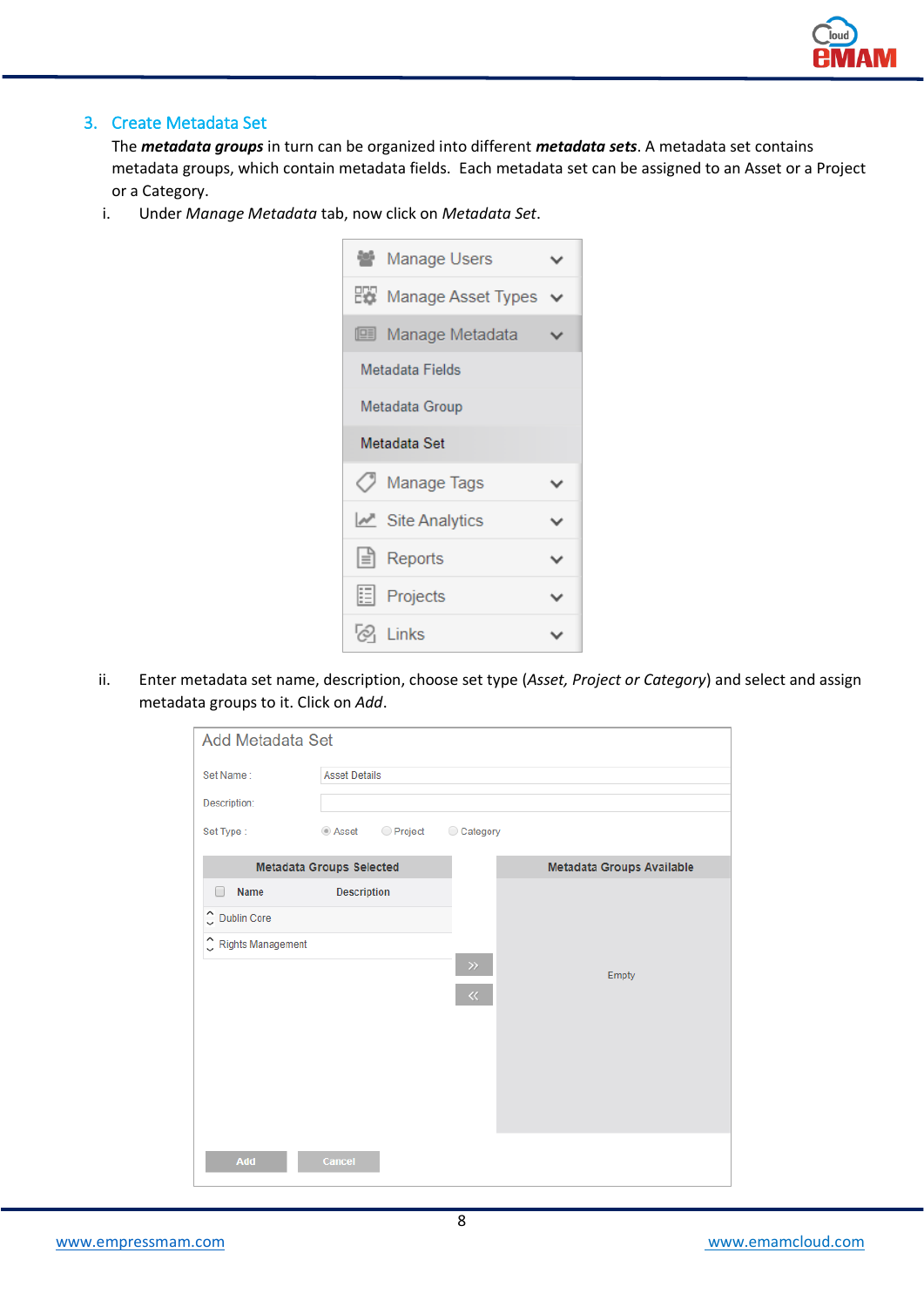

# 3. Create Metadata Set

The *metadata groups* in turn can be organized into different *metadata sets*. A metadata set contains metadata groups, which contain metadata fields. Each metadata set can be assigned to an Asset or a Project or a Category.

i. Under *Manage Metadata* tab, now click on *Metadata Set*.



ii. Enter metadata set name, description, choose set type (*Asset, Project or Category*) and select and assign metadata groups to it. Click on *Add*.

| <b>Add Metadata Set</b>              |                      |           |          |                           |
|--------------------------------------|----------------------|-----------|----------|---------------------------|
| Set Name:                            | <b>Asset Details</b> |           |          |                           |
| Description:                         |                      |           |          |                           |
| Set Type:                            | ◉ Asset              | ◯ Project | Category |                           |
| <b>Metadata Groups Selected</b>      |                      |           |          | Metadata Groups Available |
| Name<br>$\Box$                       | <b>Description</b>   |           |          |                           |
| C Dublin Core                        |                      |           |          |                           |
| $\hat{\downarrow}$ Rights Management |                      |           |          |                           |
|                                      |                      |           | $\gg$    | Empty                     |
|                                      |                      |           | $\ll$    |                           |
|                                      |                      |           |          |                           |
|                                      |                      |           |          |                           |
|                                      |                      |           |          |                           |
|                                      |                      |           |          |                           |
|                                      |                      |           |          |                           |
| Add                                  | Cancel               |           |          |                           |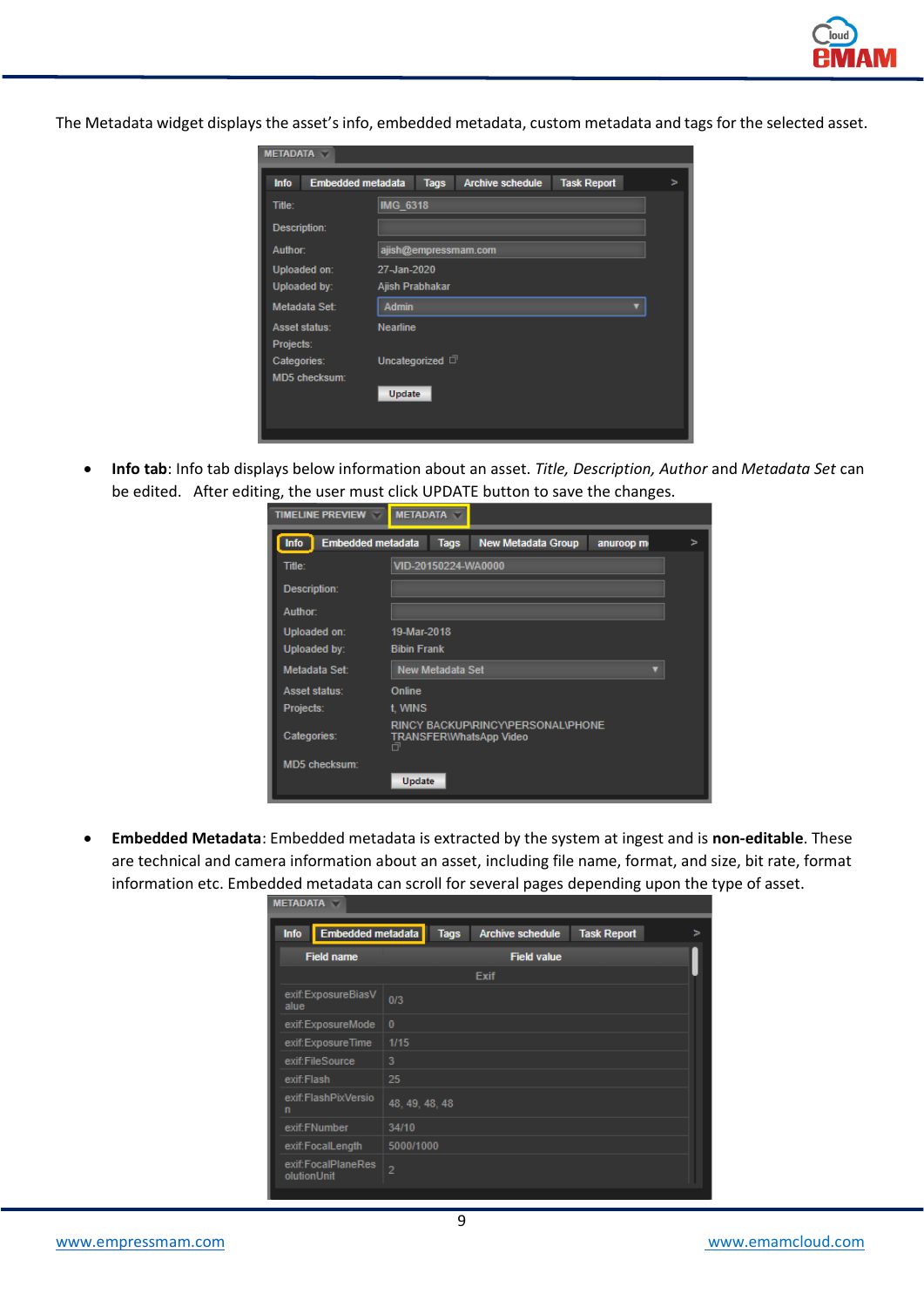

The Metadata widget displays the asset's info, embedded metadata, custom metadata and tags for the selected asset.

| <b>METADATA</b>                         |                                                                   |  |
|-----------------------------------------|-------------------------------------------------------------------|--|
| <b>Embedded metadata</b><br><b>Info</b> | <b>Tags</b><br><b>Task Report</b><br><b>Archive schedule</b><br>> |  |
| Title:                                  | <b>IMG 6318</b>                                                   |  |
| Description:                            |                                                                   |  |
| Author:                                 | ajish@empressmam.com                                              |  |
| Uploaded on:                            | 27-Jan-2020                                                       |  |
| Uploaded by:                            | Ajish Prabhakar                                                   |  |
| Metadata Set:                           | <b>Admin</b>                                                      |  |
| Asset status:                           | <b>Nearline</b>                                                   |  |
| Projects:                               |                                                                   |  |
| Categories:                             | Uncategorized $\Box$                                              |  |
| <b>MD5</b> checksum:                    |                                                                   |  |
|                                         | Update                                                            |  |
|                                         |                                                                   |  |
|                                         |                                                                   |  |

• **Info tab**: Info tab displays below information about an asset. *Title, Description, Author* and *Metadata Set* can be edited. After editing, the user must click UPDATE button to save the changes.

| <b>TIMELINE PREVIEW</b><br>v            | <b>METADATA</b>                     |                                          |           |   |
|-----------------------------------------|-------------------------------------|------------------------------------------|-----------|---|
| <b>Info</b><br><b>Embedded metadata</b> | <b>Tags</b>                         | <b>New Metadata Group</b>                | anuroop m | ъ |
| Title:                                  | VID-20150224-WA0000                 |                                          |           |   |
| Description:                            |                                     |                                          |           |   |
| Author:                                 |                                     |                                          |           |   |
| Uploaded on:                            | 19-Mar-2018                         |                                          |           |   |
| Uploaded by:                            | <b>Bibin Frank</b>                  |                                          |           |   |
| Metadata Set:                           | <b>New Metadata Set</b>             |                                          |           |   |
| Asset status:                           | <b>Online</b>                       |                                          |           |   |
| Projects:                               | t. WINS                             |                                          |           |   |
| Categories:                             | <b>TRANSFER\WhatsApp Video</b><br>帀 | <b>RINCY BACKUP\RINCY\PERSONAL\PHONE</b> |           |   |
| MD5 checksum:                           |                                     |                                          |           |   |
|                                         | <b>Update</b>                       |                                          |           |   |

• **Embedded Metadata**: Embedded metadata is extracted by the system at ingest and is **non-editable**. These are technical and camera information about an asset, including file name, format, and size, bit rate, format information etc. Embedded metadata can scroll for several pages depending upon the type of asset.

| <b>METADATA</b>                   |                                                              |   |
|-----------------------------------|--------------------------------------------------------------|---|
| Embedded metadata<br>Info         | <b>Tags</b><br><b>Task Report</b><br><b>Archive schedule</b> | > |
| <b>Field name</b>                 | <b>Field value</b>                                           |   |
|                                   | <b>Exif</b>                                                  |   |
| exif:ExposureBiasV<br>alue        | 0/3                                                          |   |
| exif:ExposureMode                 | $\mathbf{0}$                                                 |   |
| exif:ExposureTime                 | 1/15                                                         |   |
| exif:FileSource                   | 3                                                            |   |
| exif:Flash                        | 25                                                           |   |
| exif:FlashPixVersio<br>n          | 48, 49, 48, 48                                               |   |
| exif:FNumber                      | 34/10                                                        |   |
| exif:FocalLength                  | 5000/1000                                                    |   |
| exif:FocalPlaneRes<br>olutionUnit | $\overline{2}$                                               |   |
|                                   |                                                              |   |